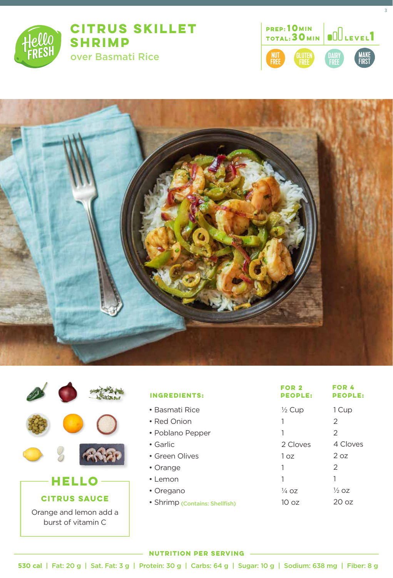

## **CITRUS SKILLET SHRIMP**

over Basmati Rice



3





| <b>INGREDIENTS:</b>            | FOR 2<br><b>PEOPLE:</b> | FOR 4<br><b>PEOPLE:</b> |
|--------------------------------|-------------------------|-------------------------|
| $\bullet$ Basmati Rice         | $\frac{1}{2}$ Cup       | 1 Cup                   |
| • Red Onion                    | 1                       | 2                       |
| • Poblano Pepper               | 1                       | 2                       |
| • Garlic                       | 2 Cloves                | 4 Cloves                |
| • Green Olives                 | 1 oz                    | 2 oz                    |
| • Orange                       | 1                       | $\mathcal{P}$           |
| $\cdot$ Lemon                  | 1                       |                         |
| • Oregano                      | $\frac{1}{4}$ OZ        | $\frac{1}{2}$ oz        |
| · Shrimp (Contains: Shellfish) | 10 oz                   | 20 <sub>oz</sub>        |

## **NUTRITION PER SERVING**